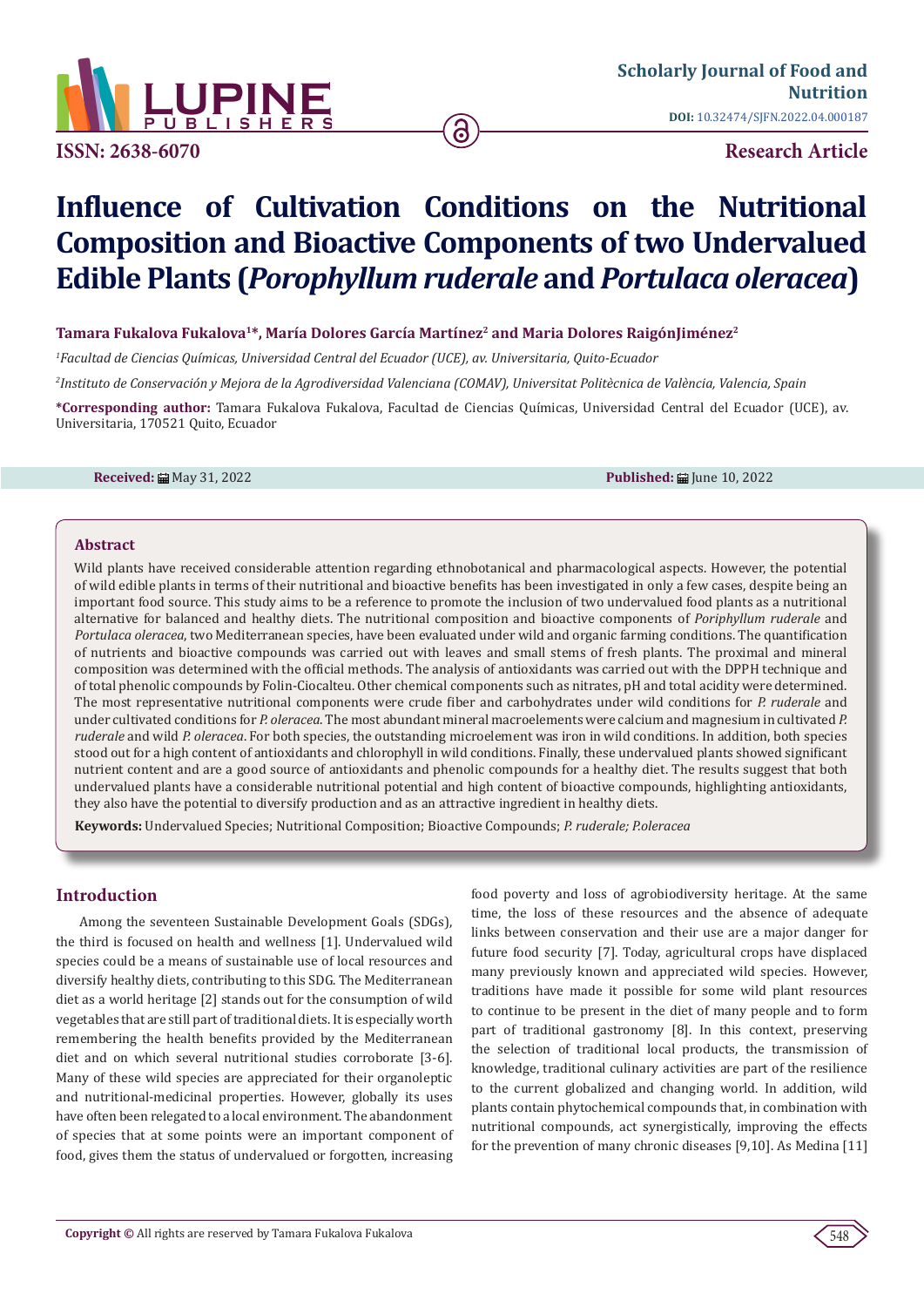

**ISSN: 2638-6070**

**Research Article**

# **Influence of Cultivation Conditions on the Nutritional Composition and Bioactive Components of two Undervalued Edible Plants (***Porophyllum ruderale* **and** *Portulaca oleracea***)**

ခ

## **Tamara Fukalova Fukalova<sup>1</sup>\*, María Dolores García Martínez<sup>2</sup> and Maria Dolores RaigónJiménez<sup>2</sup>**

*1 Facultad de Ciencias Químicas, Universidad Central del Ecuador (UCE), av. Universitaria, Quito-Ecuador*

*2 Instituto de Conservación y Mejora de la Agrodiversidad Valenciana (COMAV), Universitat Politècnica de València, Valencia, Spain*

**\*Corresponding author:** Tamara Fukalova Fukalova, Facultad de Ciencias Químicas, Universidad Central del Ecuador (UCE), av. Universitaria, 170521 Quito, Ecuador

**Received:** Ay 31, 2022 **Published:** All Une 10, 2022

#### **Abstract**

Wild plants have received considerable attention regarding ethnobotanical and pharmacological aspects. However, the potential of wild edible plants in terms of their nutritional and bioactive benefits has been investigated in only a few cases, despite being an important food source. This study aims to be a reference to promote the inclusion of two undervalued food plants as a nutritional alternative for balanced and healthy diets. The nutritional composition and bioactive components of *Poriphyllum ruderale* and *Portulaca oleracea*, two Mediterranean species, have been evaluated under wild and organic farming conditions. The quantification of nutrients and bioactive compounds was carried out with leaves and small stems of fresh plants. The proximal and mineral composition was determined with the official methods. The analysis of antioxidants was carried out with the DPPH technique and of total phenolic compounds by Folin-Ciocalteu. Other chemical components such as nitrates, pH and total acidity were determined. The most representative nutritional components were crude fiber and carbohydrates under wild conditions for *P. ruderale* and under cultivated conditions for *P. oleracea*. The most abundant mineral macroelements were calcium and magnesium in cultivated *P. ruderale* and wild *P. oleracea*. For both species, the outstanding microelement was iron in wild conditions. In addition, both species stood out for a high content of antioxidants and chlorophyll in wild conditions. Finally, these undervalued plants showed significant nutrient content and are a good source of antioxidants and phenolic compounds for a healthy diet. The results suggest that both undervalued plants have a considerable nutritional potential and high content of bioactive compounds, highlighting antioxidants, they also have the potential to diversify production and as an attractive ingredient in healthy diets.

**Keywords:** Undervalued Species; Nutritional Composition; Bioactive Compounds; *P. ruderale; P.oleracea*

## **Introduction**

Among the seventeen Sustainable Development Goals (SDGs), the third is focused on health and wellness [1]. Undervalued wild species could be a means of sustainable use of local resources and diversify healthy diets, contributing to this SDG. The Mediterranean diet as a world heritage [2] stands out for the consumption of wild vegetables that are still part of traditional diets. It is especially worth remembering the health benefits provided by the Mediterranean diet and on which several nutritional studies corroborate [3-6]. Many of these wild species are appreciated for their organoleptic and nutritional-medicinal properties. However, globally its uses have often been relegated to a local environment. The abandonment of species that at some points were an important component of food, gives them the status of undervalued or forgotten, increasing food poverty and loss of agrobiodiversity heritage. At the same time, the loss of these resources and the absence of adequate links between conservation and their use are a major danger for future food security [7]. Today, agricultural crops have displaced many previously known and appreciated wild species. However, traditions have made it possible for some wild plant resources to continue to be present in the diet of many people and to form part of traditional gastronomy [8]. In this context, preserving the selection of traditional local products, the transmission of knowledge, traditional culinary activities are part of the resilience to the current globalized and changing world. In addition, wild plants contain phytochemical compounds that, in combination with nutritional compounds, act synergistically, improving the effects for the prevention of many chronic diseases [9,10]. As Medina [11]

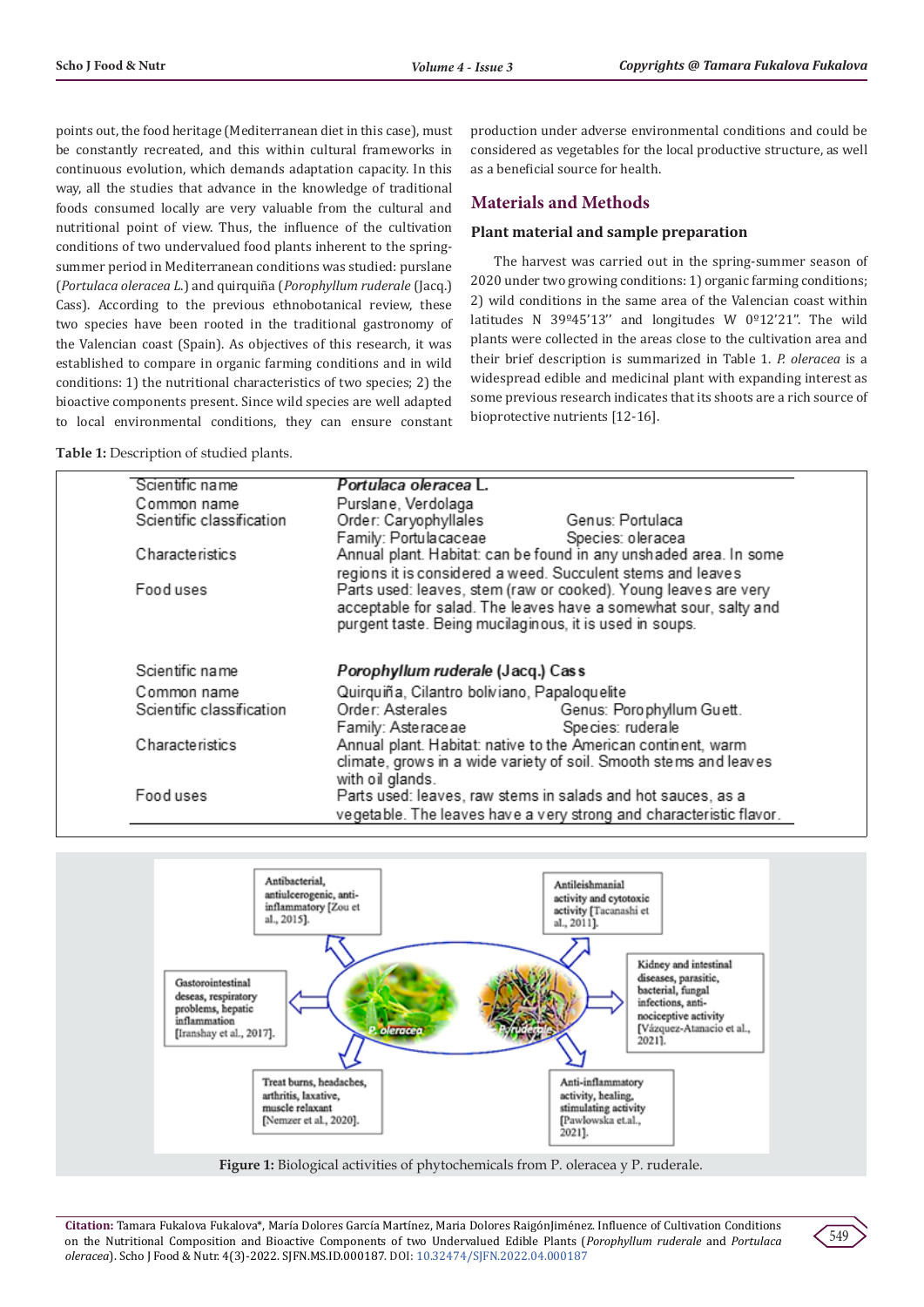points out, the food heritage (Mediterranean diet in this case), must be constantly recreated, and this within cultural frameworks in continuous evolution, which demands adaptation capacity. In this way, all the studies that advance in the knowledge of traditional foods consumed locally are very valuable from the cultural and nutritional point of view. Thus, the influence of the cultivation conditions of two undervalued food plants inherent to the springsummer period in Mediterranean conditions was studied: purslane (*Portulaca oleracea L*.) and quirquiña (*Porophyllum ruderale* (Jacq.) Cass). According to the previous ethnobotanical review, these two species have been rooted in the traditional gastronomy of the Valencian coast (Spain). As objectives of this research, it was established to compare in organic farming conditions and in wild conditions: 1) the nutritional characteristics of two species; 2) the bioactive components present. Since wild species are well adapted to local environmental conditions, they can ensure constant

**Table 1:** Description of studied plants.

production under adverse environmental conditions and could be considered as vegetables for the local productive structure, as well as a beneficial source for health.

# **Materials and Methods**

### **Plant material and sample preparation**

The harvest was carried out in the spring-summer season of 2020 under two growing conditions: 1) organic farming conditions; 2) wild conditions in the same area of the Valencian coast within latitudes N 39 $945'13''$  and longitudes W 0 $912'21''$ . The wild plants were collected in the areas close to the cultivation area and their brief description is summarized in Table 1. *P. oleracea* is a widespread edible and medicinal plant with expanding interest as some previous research indicates that its shoots are a rich source of bioprotective nutrients [12-16].

| Scientific name           | Portulaca oleracea L.                                               |
|---------------------------|---------------------------------------------------------------------|
| Common name               | Purslane, Verdolaga                                                 |
| Scientific classification | Order: Caryophyllales<br>Genus: Portulaca                           |
|                           | Family: Portulacaceae<br>Species: oleracea                          |
| <b>Characteristics</b>    | Annual plant. Habitat: can be found in any unshaded area. In some   |
|                           | regions it is considered a weed. Succulent stems and leaves         |
| Food uses                 | Parts used: leaves, stem (raw or cooked). Young leaves are very     |
|                           | acceptable for salad. The leaves have a somewhat sour, salty and    |
|                           | purgent taste. Being mucilaginous, it is used in soups.             |
| Scientific name           | Porophyllum ruderale (Jacq.) Cass                                   |
|                           |                                                                     |
| Common name               | Quirquiña, Cilantro boliviano, Papaloquelite                        |
| Scientific classification | Order: Asterales<br>Genus: Porophyllum Guett.                       |
|                           | Species: ruderale<br>Family: Asteraceae                             |
| Characteristics           | Annual plant. Habitat: native to the American continent, warm       |
|                           | climate, grows in a wide variety of soil. Smooth stems and leaves   |
|                           | with oil glands.                                                    |
| Food uses                 | Parts used: leaves, raw stems in salads and hot sauces, as a        |
|                           | vegetable. The leaves have a very strong and characteristic flavor. |



**Figure 1:** Biological activities of phytochemicals from P. oleracea y P. ruderale.

**Citation:** Tamara Fukalova Fukalova\*, María Dolores García Martínez, Maria Dolores RaigónJiménez. Influence of Cultivation Conditions on the Nutritional Composition and Bioactive Components of two Undervalued Edible Plants (*Porophyllum ruderale* and *Portulaca oleracea*). Scho J Food & Nutr. 4(3)-2022. SJFN.MS.ID.000187. DOI: [10.32474/SJFN.2022.04.000187](http://dx.doi.org/10.32474/SJFN.2022.04.000187)

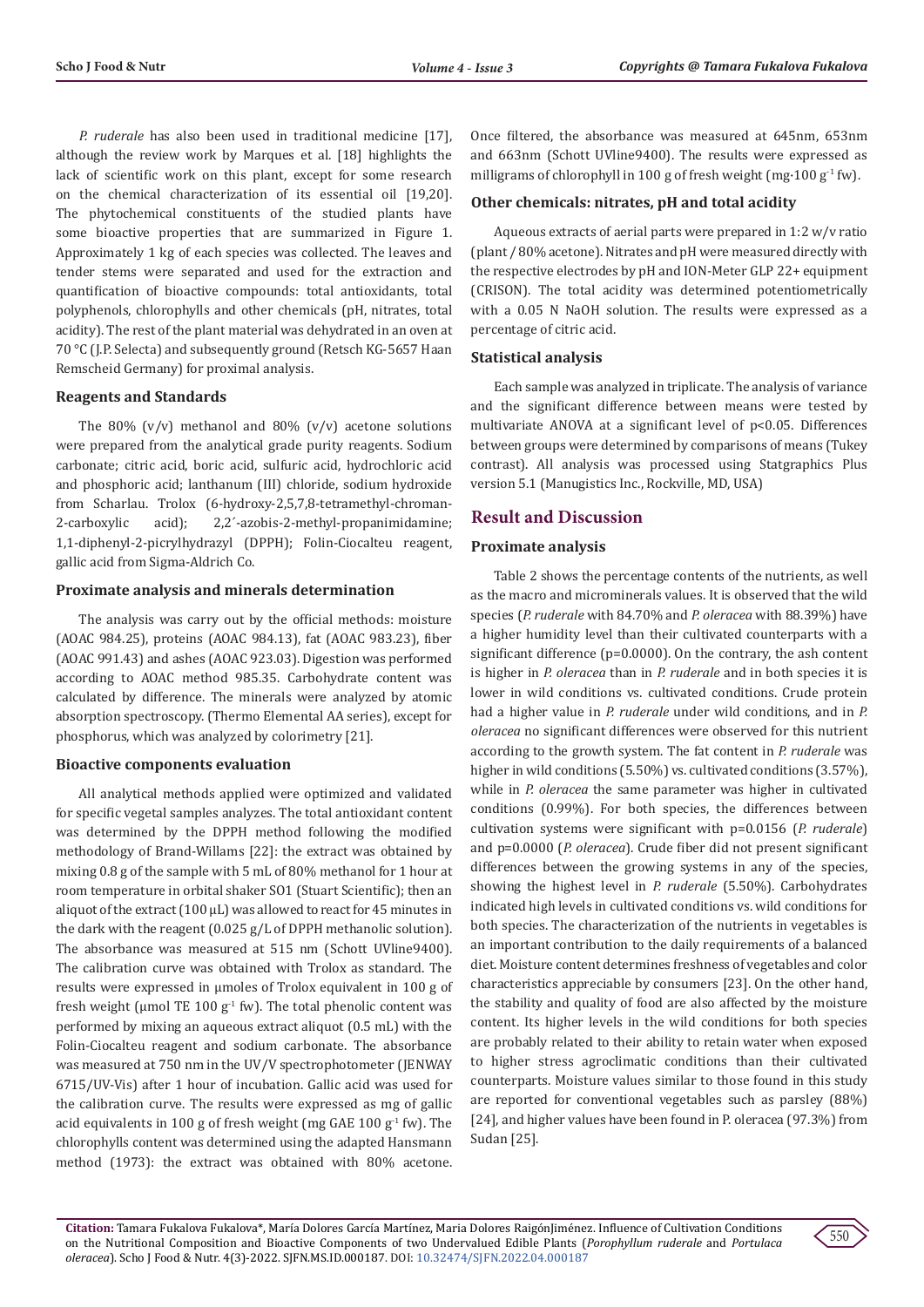*P. ruderale* has also been used in traditional medicine [17], although the review work by Marques et al. [18] highlights the lack of scientific work on this plant, except for some research on the chemical characterization of its essential oil [19,20]. The phytochemical constituents of the studied plants have some bioactive properties that are summarized in Figure 1. Approximately 1 kg of each species was collected. The leaves and tender stems were separated and used for the extraction and quantification of bioactive compounds: total antioxidants, total polyphenols, chlorophylls and other chemicals (pH, nitrates, total acidity). The rest of the plant material was dehydrated in an oven at 70 °C (J.P. Selecta) and subsequently ground (Retsch KG-5657 Haan Remscheid Germany) for proximal analysis.

## **Reagents and Standards**

The 80%  $(v/v)$  methanol and 80%  $(v/v)$  acetone solutions were prepared from the analytical grade purity reagents. Sodium carbonate; citric acid, boric acid, sulfuric acid, hydrochloric acid and phosphoric acid; lanthanum (III) chloride, sodium hydroxide from Scharlau. Trolox (6-hydroxy-2,5,7,8-tetramethyl-chroman-<br>2-carboxylic acid); 2,2'-azobis-2-methyl-propanimidamine; 2-carboxylic acid); 2,2´-azobis-2-methyl-propanimidamine; 1,1-diphenyl-2-picrylhydrazyl (DPPH); Folin-Ciocalteu reagent, gallic acid from Sigma-Aldrich Co.

#### **Proximate analysis and minerals determination**

The analysis was carry out by the official methods: moisture (AOAC 984.25), proteins (AOAC 984.13), fat (AOAC 983.23), fiber (AOAC 991.43) and ashes (AOAC 923.03). Digestion was performed according to AOAC method 985.35. Carbohydrate content was calculated by difference. The minerals were analyzed by atomic absorption spectroscopy. (Thermo Elemental AA series), except for phosphorus, which was analyzed by colorimetry [21].

#### **Bioactive components evaluation**

All analytical methods applied were optimized and validated for specific vegetal samples analyzes. The total antioxidant content was determined by the DPPH method following the modified methodology of Brand-Willams [22]: the extract was obtained by mixing 0.8 g of the sample with 5 mL of 80% methanol for 1 hour at room temperature in orbital shaker SO1 (Stuart Scientific); then an aliquot of the extract (100 μL) was allowed to react for 45 minutes in the dark with the reagent (0.025 g/L of DPPH methanolic solution). The absorbance was measured at 515 nm (Schott UVline9400). The calibration curve was obtained with Trolox as standard. The results were expressed in µmoles of Trolox equivalent in 100 g of fresh weight (µmol TE 100  $g^{-1}$  fw). The total phenolic content was performed by mixing an aqueous extract aliquot (0.5 mL) with the Folin-Ciocalteu reagent and sodium carbonate. The absorbance was measured at 750 nm in the UV/V spectrophotometer (JENWAY 6715/UV-Vis) after 1 hour of incubation. Gallic acid was used for the calibration curve. The results were expressed as mg of gallic acid equivalents in 100 g of fresh weight (mg GAE 100  $g^{-1}$  fw). The chlorophylls content was determined using the adapted Hansmann method (1973): the extract was obtained with 80% acetone.

Once filtered, the absorbance was measured at 645nm, 653nm and 663nm (Schott UVline9400). The results were expressed as milligrams of chlorophyll in 100 g of fresh weight (mg $\cdot$ 100 g<sup>-1</sup> fw).

#### **Other chemicals: nitrates, pH and total acidity**

Aqueous extracts of aerial parts were prepared in 1:2 w/v ratio (plant / 80% acetone). Nitrates and pH were measured directly with the respective electrodes by pH and ION-Meter GLP 22+ equipment (CRISON). The total acidity was determined potentiometrically with a 0.05 N NaOH solution. The results were expressed as a percentage of citric acid.

#### **Statistical analysis**

Each sample was analyzed in triplicate. The analysis of variance and the significant difference between means were tested by multivariate ANOVA at a significant level of p<0.05. Differences between groups were determined by comparisons of means (Tukey contrast). All analysis was processed using Statgraphics Plus version 5.1 (Manugistics Inc., Rockville, MD, USA)

## **Result and Discussion**

#### **Proximate analysis**

Table 2 shows the percentage contents of the nutrients, as well as the macro and microminerals values. It is observed that the wild species (*P. ruderale* with 84.70% and *P. oleracea* with 88.39%) have a higher humidity level than their cultivated counterparts with a significant difference (p=0.0000). On the contrary, the ash content is higher in *P. oleracea* than in *P. ruderale* and in both species it is lower in wild conditions vs. cultivated conditions. Crude protein had a higher value in *P. ruderale* under wild conditions, and in *P. oleracea* no significant differences were observed for this nutrient according to the growth system. The fat content in *P. ruderale* was higher in wild conditions (5.50%) vs. cultivated conditions (3.57%), while in *P. oleracea* the same parameter was higher in cultivated conditions (0.99%). For both species, the differences between cultivation systems were significant with p=0.0156 (*P. ruderale*) and p=0.0000 (*P. oleracea*). Crude fiber did not present significant differences between the growing systems in any of the species, showing the highest level in *P. ruderale* (5.50%). Carbohydrates indicated high levels in cultivated conditions vs. wild conditions for both species. The characterization of the nutrients in vegetables is an important contribution to the daily requirements of a balanced diet. Moisture content determines freshness of vegetables and color characteristics appreciable by consumers [23]. On the other hand, the stability and quality of food are also affected by the moisture content. Its higher levels in the wild conditions for both species are probably related to their ability to retain water when exposed to higher stress agroclimatic conditions than their cultivated counterparts. Moisture values similar to those found in this study are reported for conventional vegetables such as parsley (88%) [24], and higher values have been found in P. oleracea (97.3%) from Sudan [25].

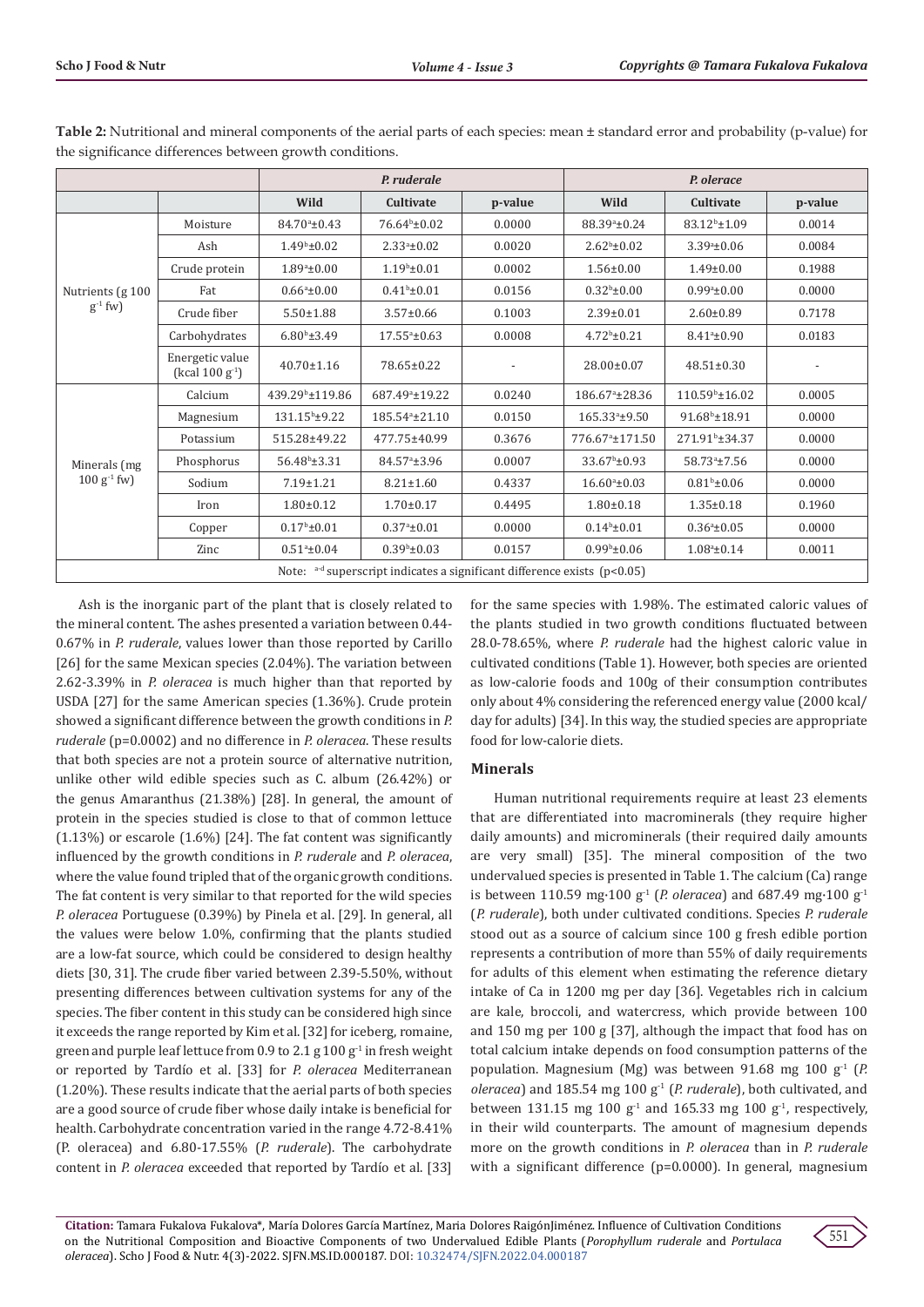|                                                                                |                                         |                             | P. ruderale                 |         | P. olerace                  |                            |         |  |  |
|--------------------------------------------------------------------------------|-----------------------------------------|-----------------------------|-----------------------------|---------|-----------------------------|----------------------------|---------|--|--|
|                                                                                |                                         | Wild                        | Cultivate                   | p-value | Wild                        | Cultivate                  | p-value |  |  |
| Nutrients (g 100<br>$g^{-1}$ fw)                                               | Moisture                                | $84.70^{\circ} \pm 0.43$    | 76.64 <sup>b</sup> ±0.02    | 0.0000  | 88.39 <sup>a</sup> ±0.24    | 83.12 <sup>b</sup> ±1.09   | 0.0014  |  |  |
|                                                                                | Ash                                     | $1.49b \pm 0.02$            | $2.33a_{\pm}0.02$<br>0.0020 |         | $2.62^b \pm 0.02$           | $3.39a \pm 0.06$           | 0.0084  |  |  |
|                                                                                | Crude protein                           | $1.89^{\circ}$ ±0.00        | 0.0002<br>$1.19b \pm 0.01$  |         | $1.56 \pm 0.00$             | $1.49 \pm 0.00$            | 0.1988  |  |  |
|                                                                                | Fat                                     | $0.66^a \pm 0.00$           | $0.41b \pm 0.01$            | 0.0156  | $0.32^b \pm 0.00$           | $0.99^{\circ}$ ±0.00       | 0.0000  |  |  |
|                                                                                | Crude fiber                             | $5.50 \pm 1.88$             | 0.1003<br>$3.57 \pm 0.66$   |         | $2.39 \pm 0.01$             | $2.60 \pm 0.89$            | 0.7178  |  |  |
|                                                                                | Carbohydrates                           | $6.80^{\rm b}$ ±3.49        | $17.55a+0.63$               | 0.0008  | $4.72^b \pm 0.21$           | $8.41^a \pm 0.90$          | 0.0183  |  |  |
|                                                                                | Energetic value<br>(kcal $100 g^{-1}$ ) | $40.70 \pm 1.16$            | 78.65±0.22                  |         | 28.00±0.07                  | $48.51 \pm 0.30$           |         |  |  |
| Minerals (mg<br>$100 g-1$ fw)                                                  | Calcium                                 | 439.29 <sup>b</sup> ±119.86 | 687.49 <sup>a</sup> ±19.22  | 0.0240  | 186.67 <sup>a</sup> ±28.36  | $110.59^{\circ}$ ±16.02    | 0.0005  |  |  |
|                                                                                | Magnesium                               | 131.15 <sup>b</sup> ±9.22   | 185.54 <sup>a</sup> ±21.10  | 0.0150  | 165.33 <sup>a</sup> ±9.50   | $91.68^{\rm b}$ ±18.91     | 0.0000  |  |  |
|                                                                                | Potassium                               | 515.28±49.22                | 477.75±40.99                | 0.3676  | 776.67 <sup>a</sup> ±171.50 | 271.91 <sup>b</sup> ±34.37 | 0.0000  |  |  |
|                                                                                | Phosphorus                              | $56.48^{\circ}$ ±3.31       | 84.57 <sup>a</sup> ±3.96    | 0.0007  | $33.67^b \pm 0.93$          | 58.73 <sup>a</sup> ±7.56   | 0.0000  |  |  |
|                                                                                | Sodium                                  | $7.19 \pm 1.21$             | $8.21 \pm 1.60$             | 0.4337  | $16.60^{\circ}$ ±0.03       | $0.81^b \pm 0.06$          | 0.0000  |  |  |
|                                                                                | Iron                                    | $1.80 \pm 0.12$             | $1.70 \pm 0.17$             | 0.4495  | $1.80 \pm 0.18$             | $1.35 \pm 0.18$            | 0.1960  |  |  |
|                                                                                | Copper                                  | $0.17^{\rm b}$ ± $0.01$     | $0.37a_{\pm}0.01$           | 0.0000  | $0.14b \pm 0.01$            | $0.36^a \pm 0.05$          | 0.0000  |  |  |
|                                                                                | Zinc                                    | $0.51^{\circ}$ ±0.04        | $0.39b \pm 0.03$            | 0.0157  | $0.99^{\rm b}$ ±0.06        | $1.08^a \pm 0.14$          | 0.0011  |  |  |
| Note: $a-d$ superscript indicates a significant difference exists ( $p<0.05$ ) |                                         |                             |                             |         |                             |                            |         |  |  |

**Table 2:** Nutritional and mineral components of the aerial parts of each species: mean ± standard error and probability (p-value) for the significance differences between growth conditions.

Ash is the inorganic part of the plant that is closely related to the mineral content. The ashes presented a variation between 0.44- 0.67% in *P. ruderale*, values lower than those reported by Carillo [26] for the same Mexican species (2.04%). The variation between 2.62-3.39% in *P. oleracea* is much higher than that reported by USDA [27] for the same American species (1.36%). Crude protein showed a significant difference between the growth conditions in *P. ruderale* (p=0.0002) and no difference in *P. oleracea*. These results that both species are not a protein source of alternative nutrition, unlike other wild edible species such as C. album (26.42%) or the genus Amaranthus (21.38%) [28]. In general, the amount of protein in the species studied is close to that of common lettuce (1.13%) or escarole (1.6%) [24]. The fat content was significantly influenced by the growth conditions in *P. ruderale* and *P. oleracea*, where the value found tripled that of the organic growth conditions. The fat content is very similar to that reported for the wild species *P. oleracea* Portuguese (0.39%) by Pinela et al. [29]. In general, all the values were below 1.0%, confirming that the plants studied are a low-fat source, which could be considered to design healthy diets [30, 31]. The crude fiber varied between 2.39-5.50%, without presenting differences between cultivation systems for any of the species. The fiber content in this study can be considered high since it exceeds the range reported by Kim et al. [32] for iceberg, romaine, green and purple leaf lettuce from 0.9 to 2.1 g  $100 g<sup>-1</sup>$  in fresh weight or reported by Tardío et al. [33] for *P. oleracea* Mediterranean (1.20%). These results indicate that the aerial parts of both species are a good source of crude fiber whose daily intake is beneficial for health. Carbohydrate concentration varied in the range 4.72-8.41% (P. oleracea) and 6.80-17.55% (*P. ruderale*). The carbohydrate content in *P. oleracea* exceeded that reported by Tardío et al. [33]

for the same species with 1.98%. The estimated caloric values of the plants studied in two growth conditions fluctuated between 28.0-78.65%, where *P. ruderale* had the highest caloric value in cultivated conditions (Table 1). However, both species are oriented as low-calorie foods and 100g of their consumption contributes only about 4% considering the referenced energy value (2000 kcal/ day for adults) [34]. In this way, the studied species are appropriate food for low-calorie diets.

#### **Minerals**

Human nutritional requirements require at least 23 elements that are differentiated into macrominerals (they require higher daily amounts) and microminerals (their required daily amounts are very small) [35]. The mineral composition of the two undervalued species is presented in Table 1. The calcium (Ca) range is between 110.59 mg·100  $g^1$  (*P. oleracea*) and 687.49 mg·100  $g^1$ (*P. ruderale*), both under cultivated conditions. Species *P. ruderale* stood out as a source of calcium since 100 g fresh edible portion represents a contribution of more than 55% of daily requirements for adults of this element when estimating the reference dietary intake of Ca in 1200 mg per day [36]. Vegetables rich in calcium are kale, broccoli, and watercress, which provide between 100 and 150 mg per 100 g [37], although the impact that food has on total calcium intake depends on food consumption patterns of the population. Magnesium (Mg) was between 91.68 mg 100 g<sup>1</sup> (*P. oleracea*) and 185.54 mg 100 g-1 (*P. ruderale*), both cultivated, and between 131.15 mg 100  $g<sup>1</sup>$  and 165.33 mg 100  $g<sup>1</sup>$ , respectively, in their wild counterparts. The amount of magnesium depends more on the growth conditions in *P. oleracea* than in *P. ruderale* with a significant difference (p=0.0000). In general, magnesium

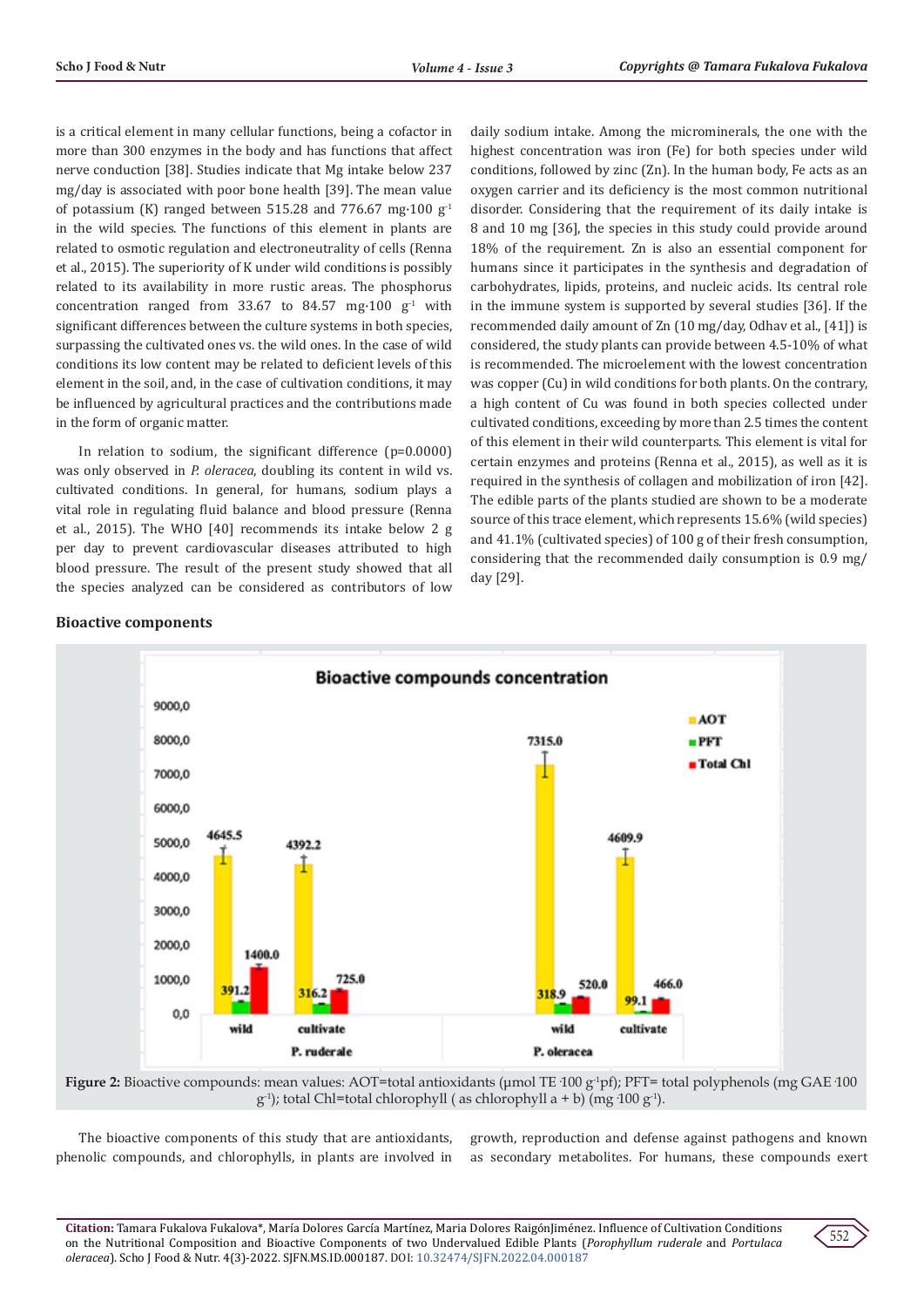is a critical element in many cellular functions, being a cofactor in more than 300 enzymes in the body and has functions that affect nerve conduction [38]. Studies indicate that Mg intake below 237 mg/day is associated with poor bone health [39]. The mean value of potassium (K) ranged between 515.28 and 776.67 mg $\cdot$ 100 g<sup>-1</sup> in the wild species. The functions of this element in plants are related to osmotic regulation and electroneutrality of cells (Renna et al., 2015). The superiority of K under wild conditions is possibly related to its availability in more rustic areas. The phosphorus concentration ranged from  $33.67$  to  $84.57$  mg $\cdot 100$  g<sup>-1</sup> with significant differences between the culture systems in both species, surpassing the cultivated ones vs. the wild ones. In the case of wild conditions its low content may be related to deficient levels of this element in the soil, and, in the case of cultivation conditions, it may be influenced by agricultural practices and the contributions made in the form of organic matter.

In relation to sodium, the significant difference (p=0.0000) was only observed in *P. oleracea*, doubling its content in wild vs. cultivated conditions. In general, for humans, sodium plays a vital role in regulating fluid balance and blood pressure (Renna et al., 2015). The WHO [40] recommends its intake below 2 g per day to prevent cardiovascular diseases attributed to high blood pressure. The result of the present study showed that all the species analyzed can be considered as contributors of low daily sodium intake. Among the microminerals, the one with the highest concentration was iron (Fe) for both species under wild conditions, followed by zinc (Zn). In the human body, Fe acts as an oxygen carrier and its deficiency is the most common nutritional disorder. Considering that the requirement of its daily intake is 8 and 10 mg [36], the species in this study could provide around 18% of the requirement. Zn is also an essential component for humans since it participates in the synthesis and degradation of carbohydrates, lipids, proteins, and nucleic acids. Its central role in the immune system is supported by several studies [36]. If the recommended daily amount of Zn (10 mg/day, Odhav et al., [41]) is considered, the study plants can provide between 4.5-10% of what is recommended. The microelement with the lowest concentration was copper (Cu) in wild conditions for both plants. On the contrary, a high content of Cu was found in both species collected under cultivated conditions, exceeding by more than 2.5 times the content of this element in their wild counterparts. This element is vital for certain enzymes and proteins (Renna et al., 2015), as well as it is required in the synthesis of collagen and mobilization of iron [42]. The edible parts of the plants studied are shown to be a moderate source of this trace element, which represents 15.6% (wild species) and 41.1% (cultivated species) of 100 g of their fresh consumption, considering that the recommended daily consumption is 0.9 mg/ day [29].

#### **Bioactive components**



**Figure 2:** Bioactive compounds: mean values: AOT=total antioxidants (μmol TE·100 g-1pf); PFT= total polyphenols (mg GAE·100  $g^{-1}$ ); total Chl=total chlorophyll ( as chlorophyll a + b) (mg·100  $g^{-1}$ ).

The bioactive components of this study that are antioxidants, phenolic compounds, and chlorophylls, in plants are involved in

growth, reproduction and defense against pathogens and known as secondary metabolites. For humans, these compounds exert

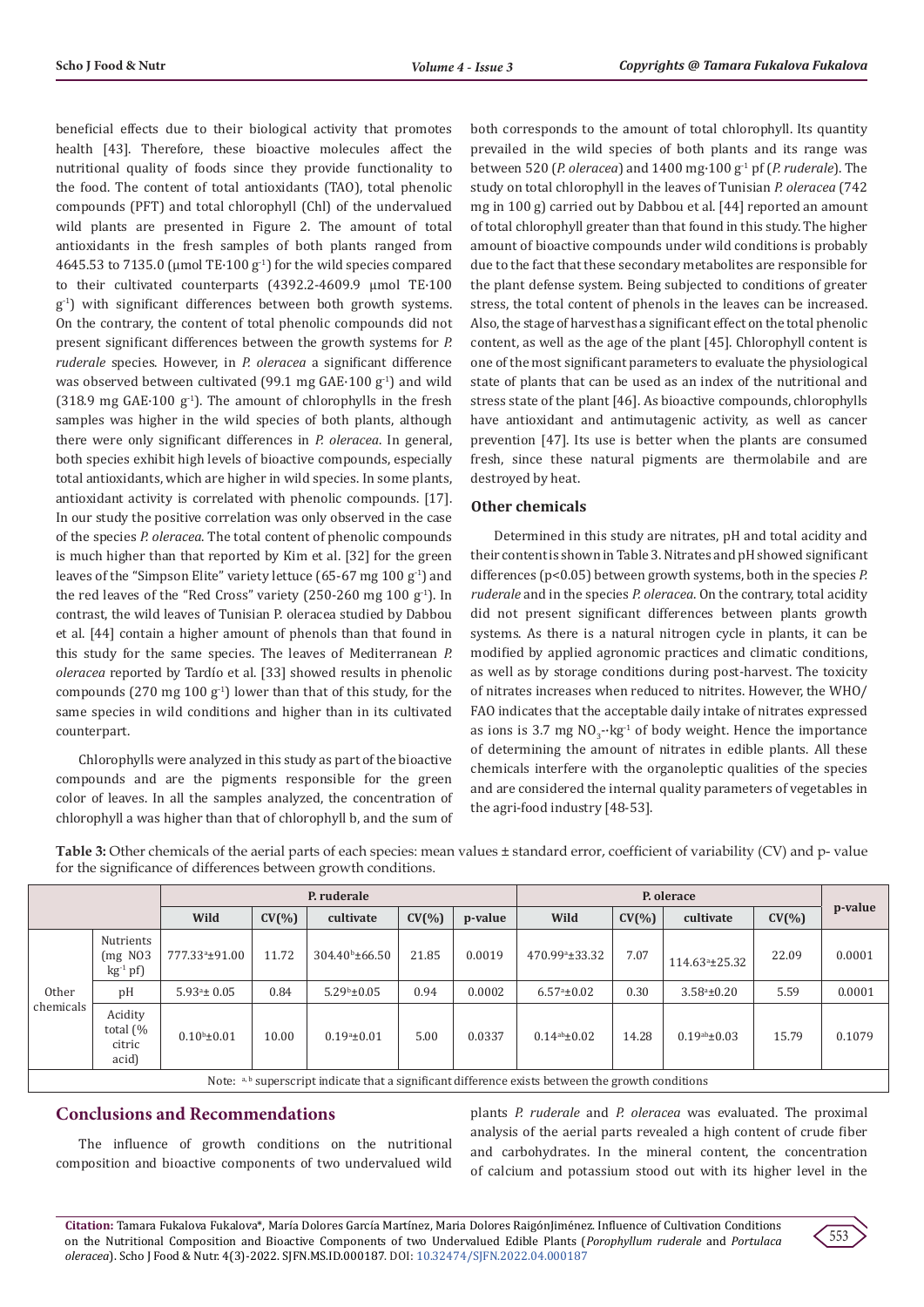beneficial effects due to their biological activity that promotes health [43]. Therefore, these bioactive molecules affect the nutritional quality of foods since they provide functionality to the food. The content of total antioxidants (TAO), total phenolic compounds (PFT) and total chlorophyll (Chl) of the undervalued wild plants are presented in Figure 2. The amount of total antioxidants in the fresh samples of both plants ranged from 4645.53 to 7135.0 (umol TE $\cdot$ 100 g<sup>-1</sup>) for the wild species compared to their cultivated counterparts (4392.2-4609.9 μmol TE·100  $g<sup>-1</sup>$ ) with significant differences between both growth systems. On the contrary, the content of total phenolic compounds did not present significant differences between the growth systems for *P. ruderale* species. However, in *P. oleracea* a significant difference was observed between cultivated (99.1 mg  $GAE·100 g<sup>-1</sup>$ ) and wild (318.9 mg  $GAE·100 g<sup>-1</sup>$ ). The amount of chlorophylls in the fresh samples was higher in the wild species of both plants, although there were only significant differences in *P. oleracea*. In general, both species exhibit high levels of bioactive compounds, especially total antioxidants, which are higher in wild species. In some plants, antioxidant activity is correlated with phenolic compounds. [17]. In our study the positive correlation was only observed in the case of the species *P. oleracea*. The total content of phenolic compounds is much higher than that reported by Kim et al. [32] for the green leaves of the "Simpson Elite" variety lettuce (65-67 mg 100 g<sup>-1</sup>) and the red leaves of the "Red Cross" variety  $(250-260 \text{ mg } 100 \text{ g}^{-1})$ . In contrast, the wild leaves of Tunisian P. oleracea studied by Dabbou et al. [44] contain a higher amount of phenols than that found in this study for the same species. The leaves of Mediterranean *P. oleracea* reported by Tardío et al. [33] showed results in phenolic compounds (270 mg 100  $g^{-1}$ ) lower than that of this study, for the same species in wild conditions and higher than in its cultivated counterpart.

Chlorophylls were analyzed in this study as part of the bioactive compounds and are the pigments responsible for the green color of leaves. In all the samples analyzed, the concentration of chlorophyll a was higher than that of chlorophyll b, and the sum of both corresponds to the amount of total chlorophyll. Its quantity prevailed in the wild species of both plants and its range was between 520 (*P. oleracea*) and 1400 mg·100 g-1 pf (*P. ruderale*). The study on total chlorophyll in the leaves of Tunisian *P. oleracea* (742 mg in 100 g) carried out by Dabbou et al. [44] reported an amount of total chlorophyll greater than that found in this study. The higher amount of bioactive compounds under wild conditions is probably due to the fact that these secondary metabolites are responsible for the plant defense system. Being subjected to conditions of greater stress, the total content of phenols in the leaves can be increased. Also, the stage of harvest has a significant effect on the total phenolic content, as well as the age of the plant [45]. Chlorophyll content is one of the most significant parameters to evaluate the physiological state of plants that can be used as an index of the nutritional and stress state of the plant [46]. As bioactive compounds, chlorophylls have antioxidant and antimutagenic activity, as well as cancer prevention [47]. Its use is better when the plants are consumed fresh, since these natural pigments are thermolabile and are destroyed by heat.

## **Other chemicals**

Determined in this study are nitrates, pH and total acidity and their content is shown in Table 3. Nitrates and pH showed significant differences (p<0.05) between growth systems, both in the species *P. ruderale* and in the species *P. oleracea*. On the contrary, total acidity did not present significant differences between plants growth systems. As there is a natural nitrogen cycle in plants, it can be modified by applied agronomic practices and climatic conditions, as well as by storage conditions during post-harvest. The toxicity of nitrates increases when reduced to nitrites. However, the WHO/ FAO indicates that the acceptable daily intake of nitrates expressed as ions is 3.7 mg  $NO<sub>3</sub>$ - $kg<sup>-1</sup>$  of body weight. Hence the importance of determining the amount of nitrates in edible plants. All these chemicals interfere with the organoleptic qualities of the species and are considered the internal quality parameters of vegetables in the agri-food industry [48-53].

**Table 3:** Other chemicals of the aerial parts of each species: mean values ± standard error, coefficient of variability (CV) and p- value for the significance of differences between growth conditions.

|                    |                                                        | P. ruderale                |           |                         |           | P. olerace |                            |           |                         |        |         |  |
|--------------------|--------------------------------------------------------|----------------------------|-----------|-------------------------|-----------|------------|----------------------------|-----------|-------------------------|--------|---------|--|
|                    |                                                        | Wild                       | $CV(\% )$ | cultivate               | $CV(\% )$ | p-value    | Wild                       | $CV(\% )$ | cultivate               | CV(% ) | p-value |  |
| Other<br>chemicals | Nutrients<br>$(mg\ N03)$<br>$kg-1 pf$                  | 777.33 <sup>a</sup> ±91.00 | 11.72     | $304.40^{\circ}$ ±66.50 | 21.85     | 0.0019     | 470.99 <sup>a</sup> ±33.32 | 7.07      | $114.63^{\circ}$ ±25.32 | 22.09  | 0.0001  |  |
|                    | pH                                                     | $5.93^{\circ}$ ± 0.05      | 0.84      | $5.29^{\rm b} \pm 0.05$ | 0.94      | 0.0002     | $6.57^{\circ}$ ±0.02       | 0.30      | $3.58^{\circ} \pm 0.20$ | 5.59   | 0.0001  |  |
|                    | Acidity<br>total $\left(\% \right)$<br>citric<br>acid) | $0.10^{b} \pm 0.01$        | 10.00     | $0.19^a \pm 0.01$       | 5.00      | 0.0337     | $0.14^{ab} \pm 0.02$       | 14.28     | $0.19^{ab} \pm 0.03$    | 15.79  | 0.1079  |  |

Note:  $a, b$  superscript indicate that a significant difference exists between the growth conditions

## **Conclusions and Recommendations**

The influence of growth conditions on the nutritional composition and bioactive components of two undervalued wild plants *P. ruderale* and *P. oleracea* was evaluated. The proximal analysis of the aerial parts revealed a high content of crude fiber and carbohydrates. In the mineral content, the concentration of calcium and potassium stood out with its higher level in the

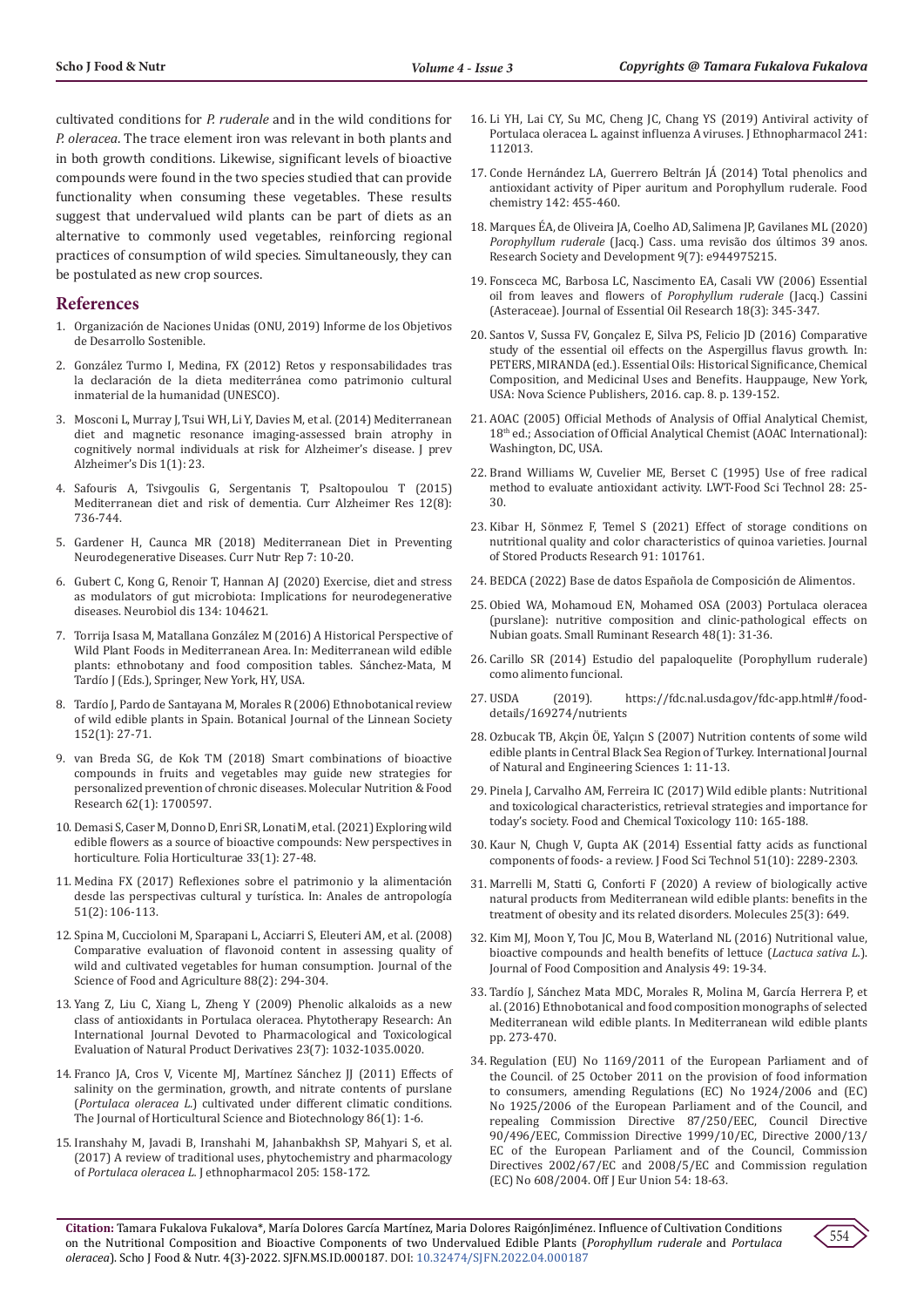cultivated conditions for *P. ruderale* and in the wild conditions for *P. oleracea*. The trace element iron was relevant in both plants and in both growth conditions. Likewise, significant levels of bioactive compounds were found in the two species studied that can provide functionality when consuming these vegetables. These results suggest that undervalued wild plants can be part of diets as an alternative to commonly used vegetables, reinforcing regional practices of consumption of wild species. Simultaneously, they can be postulated as new crop sources.

#### **References**

- 1. Organización de Naciones Unidas (ONU, 2019) Informe de los Objetivos de Desarrollo Sostenible.
- 2. González Turmo I, Medina, FX (2012) Retos y responsabilidades tras la declaración de la dieta mediterránea como patrimonio cultural inmaterial de la humanidad (UNESCO).
- 3. Mosconi L, Murray J, Tsui WH, Li Y, Davies M, et al. (2014) Mediterranean diet and magnetic resonance imaging-assessed brain atrophy in cognitively normal individuals at risk for Alzheimer's disease. J prev Alzheimer's Dis 1(1): 23.
- 4. Safouris A, Tsivgoulis G, Sergentanis T, Psaltopoulou T (2015) Mediterranean diet and risk of dementia. Curr Alzheimer Res 12(8): 736-744.
- 5. Gardener H, Caunca MR (2018) Mediterranean Diet in Preventing Neurodegenerative Diseases. Curr Nutr Rep 7: 10-20.
- 6. Gubert C, Kong G, Renoir T, Hannan AJ (2020) Exercise, diet and stress as modulators of gut microbiota: Implications for neurodegenerative diseases. Neurobiol dis 134: 104621.
- 7. Torrija Isasa M, Matallana González M (2016) A Historical Perspective of Wild Plant Foods in Mediterranean Area. In: Mediterranean wild edible plants: ethnobotany and food composition tables. Sánchez-Mata, M Tardío J (Eds.), Springer, New York, HY, USA.
- 8. Tardío J, Pardo de Santayana M, Morales R (2006) Ethnobotanical review of wild edible plants in Spain. Botanical Journal of the Linnean Society 152(1): 27-71.
- 9. van Breda SG, de Kok TM (2018) Smart combinations of bioactive compounds in fruits and vegetables may guide new strategies for personalized prevention of chronic diseases. Molecular Nutrition & Food Research 62(1): 1700597.
- 10. Demasi S, Caser M, Donno D, Enri SR, Lonati M, et al. (2021) Exploring wild edible flowers as a source of bioactive compounds: New perspectives in horticulture. Folia Horticulturae 33(1): 27-48.
- 11. Medina FX (2017) Reflexiones sobre el patrimonio y la alimentación desde las perspectivas cultural y turística. In: Anales de antropología 51(2): 106-113.
- 12. Spina M, Cuccioloni M, Sparapani L, Acciarri S, Eleuteri AM, et al. (2008) Comparative evaluation of flavonoid content in assessing quality of wild and cultivated vegetables for human consumption. Journal of the Science of Food and Agriculture 88(2): 294-304.
- 13. Yang Z, Liu C, Xiang L, Zheng Y (2009) Phenolic alkaloids as a new class of antioxidants in Portulaca oleracea. Phytotherapy Research: An International Journal Devoted to Pharmacological and Toxicological Evaluation of Natural Product Derivatives 23(7): 1032-1035.0020.
- 14. Franco JA, Cros V, Vicente MJ, Martínez Sánchez JJ (2011) Effects of salinity on the germination, growth, and nitrate contents of purslane (*Portulaca oleracea L.*) cultivated under different climatic conditions. The Journal of Horticultural Science and Biotechnology 86(1): 1-6.
- 15. Iranshahy M, Javadi B, Iranshahi M, Jahanbakhsh SP, Mahyari S, et al. (2017) A review of traditional uses, phytochemistry and pharmacology of *Portulaca oleracea L.* J ethnopharmacol 205: 158-172.
- 16. Li YH, Lai CY, Su MC, Cheng JC, Chang YS (2019) Antiviral activity of Portulaca oleracea L. against influenza A viruses. J Ethnopharmacol 241: 112013.
- 17. Conde Hernández LA, Guerrero Beltrán JÁ (2014) Total phenolics and antioxidant activity of Piper auritum and Porophyllum ruderale. Food chemistry 142: 455-460.
- 18. Marques ÉA, de Oliveira JA, Coelho AD, Salimena JP, Gavilanes ML (2020) *Porophyllum ruderale* (Jacq.) Cass. uma revisão dos últimos 39 anos. Research Society and Development 9(7): e944975215.
- 19. Fonsceca MC, Barbosa LC, Nascimento EA, Casali VW (2006) Essential oil from leaves and flowers of *Porophyllum ruderale* (Jacq.) Cassini (Asteraceae). Journal of Essential Oil Research 18(3): 345-347.
- 20. Santos V, Sussa FV, Gonçalez E, Silva PS, Felicio JD (2016) Comparative study of the essential oil effects on the Aspergillus flavus growth. In: PETERS, MIRANDA (ed.). Essential Oils: Historical Significance, Chemical Composition, and Medicinal Uses and Benefits. Hauppauge, New York, USA: Nova Science Publishers, 2016. cap. 8. p. 139-152.
- 21. AOAC (2005) Official Methods of Analysis of Offial Analytical Chemist, 18th ed.; Association of Official Analytical Chemist (AOAC International): Washington, DC, USA.
- 22. Brand Williams W, Cuvelier ME, Berset C (1995) Use of free radical method to evaluate antioxidant activity. LWT-Food Sci Technol 28: 25- 30.
- 23. Kibar H, Sönmez F, Temel S (2021) Effect of storage conditions on nutritional quality and color characteristics of quinoa varieties. Journal of Stored Products Research 91: 101761.
- 24. BEDCA (2022) Base de datos Española de Composición de Alimentos.
- 25. Obied WA, Mohamoud EN, Mohamed OSA (2003) Portulaca oleracea (purslane): nutritive composition and clinic-pathological effects on Nubian goats. Small Ruminant Research 48(1): 31-36.
- 26. Carillo SR (2014) Estudio del papaloquelite (Porophyllum ruderale) como alimento funcional.
- 27. USDA (2019). https://fdc.nal.usda.gov/fdc-app.html#/fooddetails/169274/nutrients
- 28. Ozbucak TB, Akçin ÖE, Yalçın S (2007) Nutrition contents of some wild edible plants in Central Black Sea Region of Turkey. International Journal of Natural and Engineering Sciences 1: 11-13.
- 29. Pinela J, Carvalho AM, Ferreira IC (2017) Wild edible plants: Nutritional and toxicological characteristics, retrieval strategies and importance for today's society. Food and Chemical Toxicology 110: 165-188.
- 30. Kaur N, Chugh V, Gupta AK (2014) Essential fatty acids as functional components of foods- a review. J Food Sci Technol 51(10): 2289-2303.
- 31. Marrelli M, Statti G, Conforti F (2020) A review of biologically active natural products from Mediterranean wild edible plants: benefits in the treatment of obesity and its related disorders. Molecules 25(3): 649.
- 32. Kim MJ, Moon Y, Tou JC, Mou B, Waterland NL (2016) Nutritional value, bioactive compounds and health benefits of lettuce (*Lactuca sativa L.*). Journal of Food Composition and Analysis 49: 19-34.
- 33. Tardío J, Sánchez Mata MDC, Morales R, Molina M, García Herrera P, et al. (2016) Ethnobotanical and food composition monographs of selected Mediterranean wild edible plants. In Mediterranean wild edible plants pp. 273-470.
- 34. Regulation (EU) No 1169/2011 of the European Parliament and of the Council. of 25 October 2011 on the provision of food information to consumers, amending Regulations (EC) No 1924/2006 and (EC) No 1925/2006 of the European Parliament and of the Council, and repealing Commission Directive 87/250/EEC, Council Directive 90/496/EEC, Commission Directive 1999/10/EC, Directive 2000/13/ EC of the European Parliament and of the Council, Commission Directives 2002/67/EC and 2008/5/EC and Commission regulation (EC) No 608/2004. Off J Eur Union 54: 18-63.